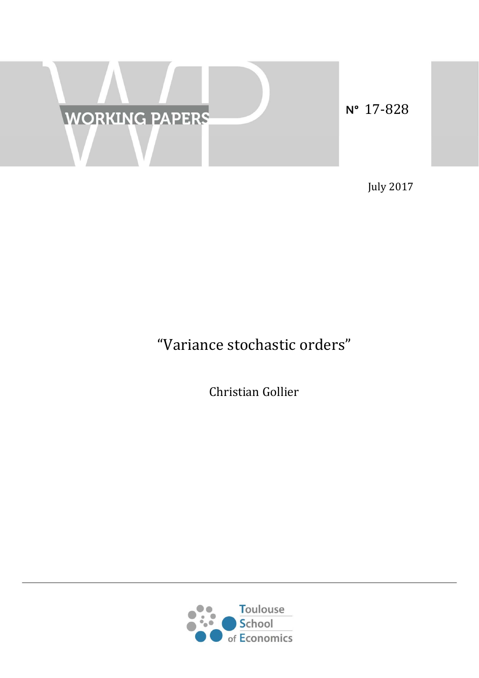

N° 17-828

July 2017 

# "Variance stochastic orders"

Christian Gollier 

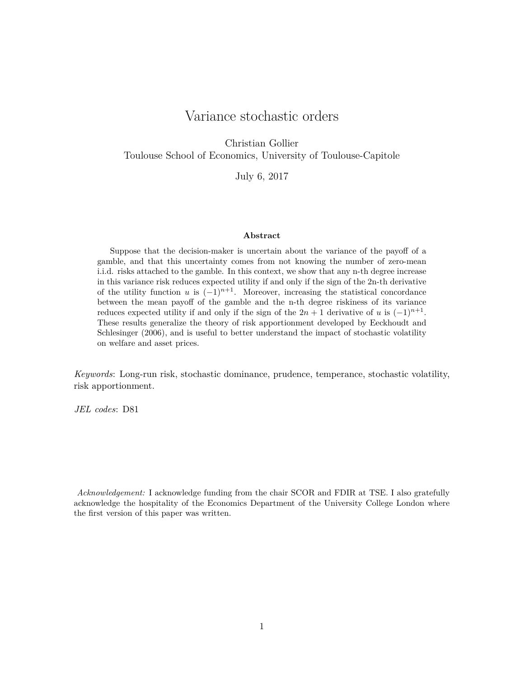# Variance stochastic orders

Christian Gollier Toulouse School of Economics, University of Toulouse-Capitole

July 6, 2017

#### **Abstract**

Suppose that the decision-maker is uncertain about the variance of the payoff of a gamble, and that this uncertainty comes from not knowing the number of zero-mean i.i.d. risks attached to the gamble. In this context, we show that any n-th degree increase in this variance risk reduces expected utility if and only if the sign of the 2n-th derivative of the utility function *u* is  $(-1)^{n+1}$ . Moreover, increasing the statistical concordance between the mean payoff of the gamble and the n-th degree riskiness of its variance reduces expected utility if and only if the sign of the  $2n + 1$  derivative of *u* is  $(-1)^{n+1}$ . These results generalize the theory of risk apportionment developed by Eeckhoudt and Schlesinger (2006), and is useful to better understand the impact of stochastic volatility on welfare and asset prices.

*Keywords*: Long-run risk, stochastic dominance, prudence, temperance, stochastic volatility, risk apportionment.

*JEL codes*: D81

*Acknowledgement:* I acknowledge funding from the chair SCOR and FDIR at TSE. I also gratefully acknowledge the hospitality of the Economics Department of the University College London where the first version of this paper was written.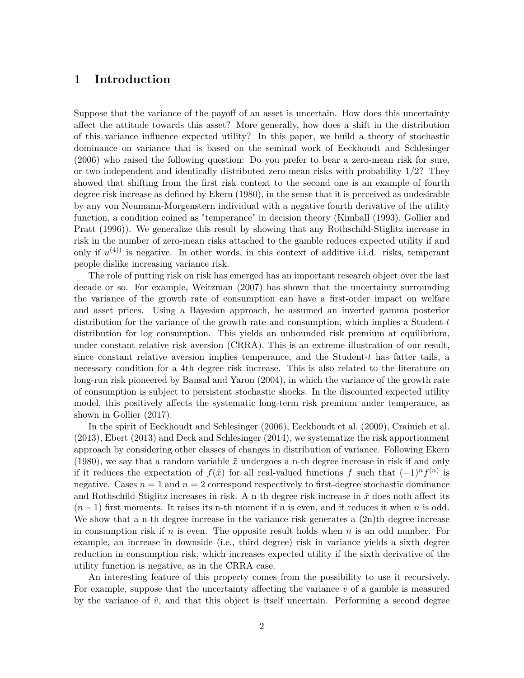## **1 Introduction**

Suppose that the variance of the payoff of an asset is uncertain. How does this uncertainty affect the attitude towards this asset? More generally, how does a shift in the distribution of this variance influence expected utility? In this paper, we build a theory of stochastic dominance on variance that is based on the seminal work of Eeckhoudt and Schlesinger (2006) who raised the following question: Do you prefer to bear a zero-mean risk for sure, or two independent and identically distributed zero-mean risks with probability 1*/*2? They showed that shifting from the first risk context to the second one is an example of fourth degree risk increase as defined by Ekern (1980), in the sense that it is perceived as undesirable by any von Neumann-Morgenstern individual with a negative fourth derivative of the utility function, a condition coined as "temperance" in decision theory (Kimball (1993), Gollier and Pratt (1996)). We generalize this result by showing that any Rothschild-Stiglitz increase in risk in the number of zero-mean risks attached to the gamble reduces expected utility if and only if  $u^{(4)}$  is negative. In other words, in this context of additive i.i.d. risks, temperant people dislike increasing variance risk.

The role of putting risk on risk has emerged has an important research object over the last decade or so. For example, Weitzman (2007) has shown that the uncertainty surrounding the variance of the growth rate of consumption can have a first-order impact on welfare and asset prices. Using a Bayesian approach, he assumed an inverted gamma posterior distribution for the variance of the growth rate and consumption, which implies a Student-*t* distribution for log consumption. This yields an unbounded risk premium at equilibrium, under constant relative risk aversion (CRRA). This is an extreme illustration of our result, since constant relative aversion implies temperance, and the Student-*t* has fatter tails, a necessary condition for a 4th degree risk increase. This is also related to the literature on long-run risk pioneered by Bansal and Yaron (2004), in which the variance of the growth rate of consumption is subject to persistent stochastic shocks. In the discounted expected utility model, this positively affects the systematic long-term risk premium under temperance, as shown in Gollier (2017).

In the spirit of Eeckhoudt and Schlesinger (2006), Eeckhoudt et al. (2009), Crainich et al. (2013), Ebert (2013) and Deck and Schlesinger (2014), we systematize the risk apportionment approach by considering other classes of changes in distribution of variance. Following Ekern (1980), we say that a random variable  $\tilde{x}$  undergoes a n-th degree increase in risk if and only if it reduces the expectation of  $f(\tilde{x})$  for all real-valued functions  $f$  such that  $(-1)^n f^{(n)}$  is negative. Cases  $n = 1$  and  $n = 2$  correspond respectively to first-degree stochastic dominance and Rothschild-Stiglitz increases in risk. A n-th degree risk increase in  $\tilde{x}$  does noth affect its  $(n-1)$  first moments. It raises its n-th moment if *n* is even, and it reduces it when *n* is odd. We show that a n-th degree increase in the variance risk generates a  $(2n)$ th degree increase in consumption risk if *n* is even. The opposite result holds when *n* is an odd number. For example, an increase in downside (i.e., third degree) risk in variance yields a sixth degree reduction in consumption risk, which increases expected utility if the sixth derivative of the utility function is negative, as in the CRRA case.

An interesting feature of this property comes from the possibility to use it recursively. For example, suppose that the uncertainty affecting the variance  $\tilde{v}$  of a gamble is measured by the variance of  $\tilde{v}$ , and that this object is itself uncertain. Performing a second degree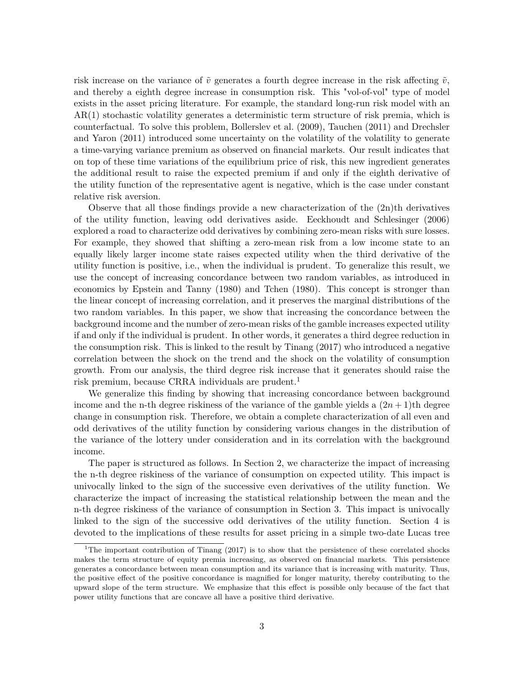risk increase on the variance of  $\tilde{v}$  generates a fourth degree increase in the risk affecting  $\tilde{v}$ , and thereby a eighth degree increase in consumption risk. This "vol-of-vol" type of model exists in the asset pricing literature. For example, the standard long-run risk model with an AR(1) stochastic volatility generates a deterministic term structure of risk premia, which is counterfactual. To solve this problem, Bollerslev et al. (2009), Tauchen (2011) and Drechsler and Yaron (2011) introduced some uncertainty on the volatility of the volatility to generate a time-varying variance premium as observed on financial markets. Our result indicates that on top of these time variations of the equilibrium price of risk, this new ingredient generates the additional result to raise the expected premium if and only if the eighth derivative of the utility function of the representative agent is negative, which is the case under constant relative risk aversion.

Observe that all those findings provide a new characterization of the  $(2n)$ <sup>th</sup> derivatives of the utility function, leaving odd derivatives aside. Eeckhoudt and Schlesinger (2006) explored a road to characterize odd derivatives by combining zero-mean risks with sure losses. For example, they showed that shifting a zero-mean risk from a low income state to an equally likely larger income state raises expected utility when the third derivative of the utility function is positive, i.e., when the individual is prudent. To generalize this result, we use the concept of increasing concordance between two random variables, as introduced in economics by Epstein and Tanny (1980) and Tchen (1980). This concept is stronger than the linear concept of increasing correlation, and it preserves the marginal distributions of the two random variables. In this paper, we show that increasing the concordance between the background income and the number of zero-mean risks of the gamble increases expected utility if and only if the individual is prudent. In other words, it generates a third degree reduction in the consumption risk. This is linked to the result by Tinang (2017) who introduced a negative correlation between the shock on the trend and the shock on the volatility of consumption growth. From our analysis, the third degree risk increase that it generates should raise the risk premium, because CRRA individuals are prudent.<sup>1</sup>

We generalize this finding by showing that increasing concordance between background income and the n-th degree riskiness of the variance of the gamble yields a  $(2n+1)$ th degree change in consumption risk. Therefore, we obtain a complete characterization of all even and odd derivatives of the utility function by considering various changes in the distribution of the variance of the lottery under consideration and in its correlation with the background income.

The paper is structured as follows. In Section 2, we characterize the impact of increasing the n-th degree riskiness of the variance of consumption on expected utility. This impact is univocally linked to the sign of the successive even derivatives of the utility function. We characterize the impact of increasing the statistical relationship between the mean and the n-th degree riskiness of the variance of consumption in Section 3. This impact is univocally linked to the sign of the successive odd derivatives of the utility function. Section 4 is devoted to the implications of these results for asset pricing in a simple two-date Lucas tree

<sup>&</sup>lt;sup>1</sup>The important contribution of Tinang  $(2017)$  is to show that the persistence of these correlated shocks makes the term structure of equity premia increasing, as observed on financial markets. This persistence generates a concordance between mean consumption and its variance that is increasing with maturity. Thus, the positive effect of the positive concordance is magnified for longer maturity, thereby contributing to the upward slope of the term structure. We emphasize that this effect is possible only because of the fact that power utility functions that are concave all have a positive third derivative.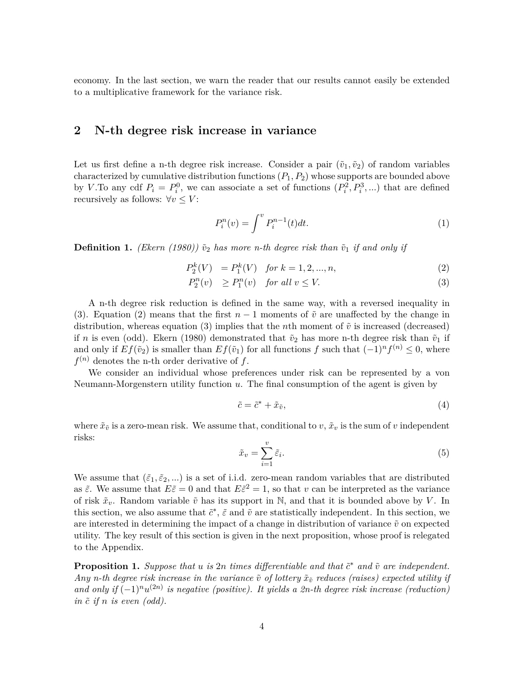economy. In the last section, we warn the reader that our results cannot easily be extended to a multiplicative framework for the variance risk.

## **2 N-th degree risk increase in variance**

Let us first define a n-th degree risk increase. Consider a pair  $(\tilde{v}_1, \tilde{v}_2)$  of random variables characterized by cumulative distribution functions (*P*1*, P*2) whose supports are bounded above by *V*. To any cdf  $P_i = P_i^0$ , we can associate a set of functions  $(P_i^2, P_i^3, \ldots)$  that are defined recursively as follows:  $\forall v \leq V$ :

$$
P_i^n(v) = \int^v P_i^{n-1}(t)dt.
$$
 (1)

**Definition 1.** *(Ekern (1980))*  $\tilde{v}_2$  *has more n-th degree risk than*  $\tilde{v}_1$  *if and only if* 

$$
P_2^k(V) = P_1^k(V) \quad \text{for } k = 1, 2, ..., n,
$$
\n(2)

$$
P_2^n(v) \ge P_1^n(v) \quad \text{for all } v \le V. \tag{3}
$$

A n-th degree risk reduction is defined in the same way, with a reversed inequality in (3). Equation (2) means that the first  $n-1$  moments of  $\tilde{v}$  are unaffected by the change in distribution, whereas equation (3) implies that the *n*th moment of  $\tilde{v}$  is increased (decreased) if *n* is even (odd). Ekern (1980) demonstrated that  $\tilde{v}_2$  has more n-th degree risk than  $\tilde{v}_1$  if and only if  $Ef(\tilde{v}_2)$  is smaller than  $Ef(\tilde{v}_1)$  for all functions *f* such that  $(-1)^n f^{(n)} \leq 0$ , where  $f^{(n)}$  denotes the n-th order derivative of  $f$ .

We consider an individual whose preferences under risk can be represented by a von Neumann-Morgenstern utility function *u*. The final consumption of the agent is given by

$$
\tilde{c} = \tilde{c}^* + \tilde{x}_{\tilde{v}},\tag{4}
$$

where  $\tilde{x}_{\tilde{v}}$  is a zero-mean risk. We assume that, conditional to *v*,  $\tilde{x}_v$  is the sum of *v* independent risks:

$$
\tilde{x}_v = \sum_{i=1}^v \tilde{\varepsilon}_i. \tag{5}
$$

We assume that  $(\tilde{\varepsilon}_1, \tilde{\varepsilon}_2, \ldots)$  is a set of i.i.d. zero-mean random variables that are distributed as  $\tilde{\varepsilon}$ . We assume that  $E\tilde{\varepsilon} = 0$  and that  $E\tilde{\varepsilon}^2 = 1$ , so that *v* can be interpreted as the variance of risk  $\tilde{x}_v$ . Random variable  $\tilde{v}$  has its support in N, and that it is bounded above by *V*. In this section, we also assume that  $\tilde{c}^*, \tilde{\varepsilon}$  and  $\tilde{v}$  are statistically independent. In this section, we are interested in determining the impact of a change in distribution of variance  $\tilde{v}$  on expected utility. The key result of this section is given in the next proposition, whose proof is relegated to the Appendix.

**Proposition 1.** Suppose that  $u$  is  $2n$  times differentiable and that  $\tilde{c}^*$  and  $\tilde{v}$  are independent. *Any n-th degree risk increase in the variance*  $\tilde{v}$  *of lottery*  $\tilde{x}_{\tilde{v}}$  *reduces (raises) expected utility if* and only if  $(-1)^n u^{(2n)}$  is negative (positive). It yields a 2n-th degree risk increase (reduction)  $\int$ *in*  $\tilde{c}$  *if*  $n$  *is even (odd).*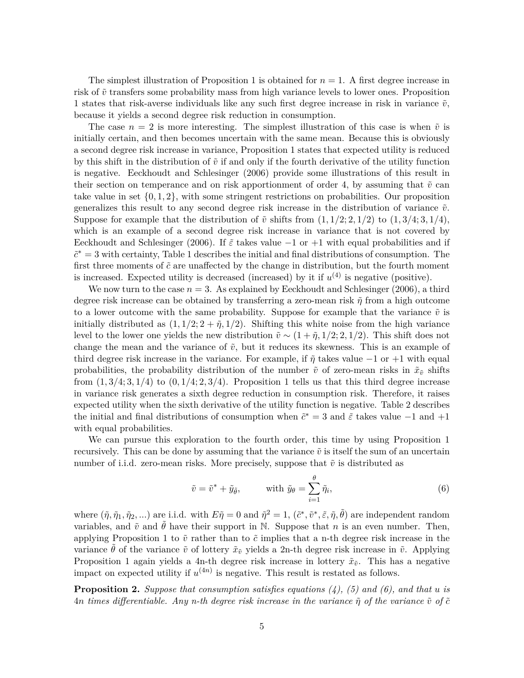The simplest illustration of Proposition 1 is obtained for  $n = 1$ . A first degree increase in risk of  $\tilde{v}$  transfers some probability mass from high variance levels to lower ones. Proposition 1 states that risk-averse individuals like any such first degree increase in risk in variance  $\tilde{v}$ , because it yields a second degree risk reduction in consumption.

The case  $n = 2$  is more interesting. The simplest illustration of this case is when  $\tilde{v}$  is initially certain, and then becomes uncertain with the same mean. Because this is obviously a second degree risk increase in variance, Proposition 1 states that expected utility is reduced by this shift in the distribution of  $\tilde{v}$  if and only if the fourth derivative of the utility function is negative. Eeckhoudt and Schlesinger (2006) provide some illustrations of this result in their section on temperance and on risk apportionment of order 4, by assuming that  $\tilde{v}$  can take value in set  $\{0, 1, 2\}$ , with some stringent restrictions on probabilities. Our proposition generalizes this result to any second degree risk increase in the distribution of variance  $\tilde{v}$ . Suppose for example that the distribution of  $\tilde{v}$  shifts from  $(1, 1/2; 2, 1/2)$  to  $(1, 3/4; 3, 1/4)$ , which is an example of a second degree risk increase in variance that is not covered by Eeckhoudt and Schlesinger (2006). If  $\tilde{\varepsilon}$  takes value  $-1$  or  $+1$  with equal probabilities and if  $\tilde{c}^* = 3$  with certainty, Table 1 describes the initial and final distributions of consumption. The first three moments of  $\tilde{c}$  are unaffected by the change in distribution, but the fourth moment is increased. Expected utility is decreased (increased) by it if  $u^{(4)}$  is negative (positive).

We now turn to the case  $n = 3$ . As explained by Eeckhoudt and Schlesinger (2006), a third degree risk increase can be obtained by transferring a zero-mean risk *η*˜ from a high outcome to a lower outcome with the same probability. Suppose for example that the variance  $\tilde{v}$  is initially distributed as  $(1, 1/2; 2 + \tilde{\eta}, 1/2)$ . Shifting this white noise from the high variance level to the lower one yields the new distribution  $\tilde{v} \sim (1 + \tilde{\eta}, 1/2; 2, 1/2)$ . This shift does not change the mean and the variance of  $\tilde{v}$ , but it reduces its skewness. This is an example of third degree risk increase in the variance. For example, if  $\tilde{\eta}$  takes value  $-1$  or  $+1$  with equal probabilities, the probability distribution of the number  $\tilde{v}$  of zero-mean risks in  $\tilde{x}_{\tilde{v}}$  shifts from  $(1,3/4;3,1/4)$  to  $(0,1/4;2,3/4)$ . Proposition 1 tells us that this third degree increase in variance risk generates a sixth degree reduction in consumption risk. Therefore, it raises expected utility when the sixth derivative of the utility function is negative. Table 2 describes the initial and final distributions of consumption when  $\tilde{c}^* = 3$  and  $\tilde{\varepsilon}$  takes value  $-1$  and  $+1$ with equal probabilities.

We can pursue this exploration to the fourth order, this time by using Proposition 1 recursively. This can be done by assuming that the variance  $\tilde{v}$  is itself the sum of an uncertain number of i.i.d. zero-mean risks. More precisely, suppose that  $\tilde{v}$  is distributed as

$$
\tilde{v} = \tilde{v}^* + \tilde{y}_{\tilde{\theta}}, \qquad \text{with } \tilde{y}_{\theta} = \sum_{i=1}^{\theta} \tilde{\eta}_i,
$$
\n
$$
\tag{6}
$$

where  $(\tilde{\eta}, \tilde{\eta}_1, \tilde{\eta}_2, \ldots)$  are i.i.d. with  $E\tilde{\eta} = 0$  and  $\tilde{\eta}^2 = 1$ ,  $(\tilde{c}^*, \tilde{v}^*, \tilde{\varepsilon}, \tilde{\eta}, \tilde{\theta})$  are independent random variables, and  $\tilde{v}$  and  $\theta$  have their support in N. Suppose that *n* is an even number. Then, applying Proposition 1 to  $\tilde{v}$  rather than to  $\tilde{c}$  implies that a n-th degree risk increase in the variance  $\theta$  of the variance  $\tilde{v}$  of lottery  $\tilde{x}_{\tilde{v}}$  yields a 2n-th degree risk increase in  $\tilde{v}$ . Applying Proposition 1 again yields a 4n-th degree risk increase in lottery  $\tilde{x}_{\tilde{v}}$ . This has a negative impact on expected utility if  $u^{(4n)}$  is negative. This result is restated as follows.

**Proposition 2.** *Suppose that consumption satisfies equations (4), (5) and (6), and that u is*  $4n$  *times differentiable. Any n-th degree risk increase in the variance*  $\tilde{\eta}$  *of the variance*  $\tilde{v}$  *of*  $\tilde{c}$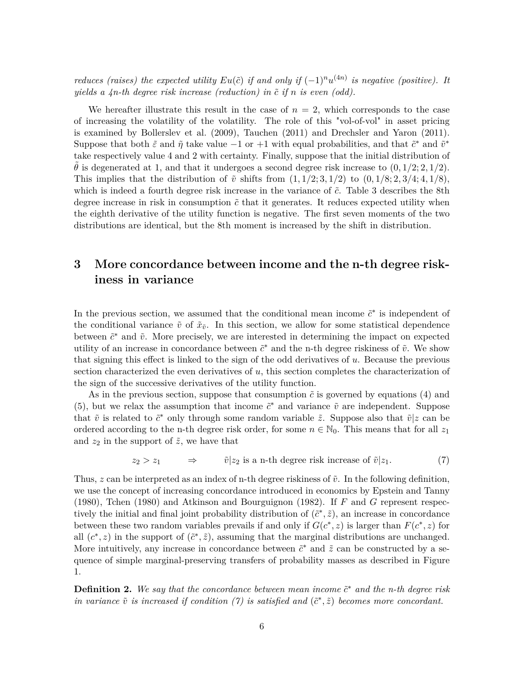*reduces (raises) the expected utility*  $Eu(\tilde{c})$  *if and only if*  $(-1)^n u^{(4n)}$  *is negative (positive).* It *yields a*  $4n$ *-th degree risk increase (reduction) in*  $\tilde{c}$  *if*  $n$  *is even (odd).* 

We hereafter illustrate this result in the case of  $n = 2$ , which corresponds to the case of increasing the volatility of the volatility. The role of this "vol-of-vol" in asset pricing is examined by Bollerslev et al. (2009), Tauchen (2011) and Drechsler and Yaron (2011). Suppose that both  $\tilde{\varepsilon}$  and  $\tilde{\eta}$  take value −1 or +1 with equal probabilities, and that  $\tilde{c}^*$  and  $\tilde{v}^*$ take respectively value 4 and 2 with certainty. Finally, suppose that the initial distribution of  $\theta$  is degenerated at 1, and that it undergoes a second degree risk increase to  $(0, 1/2; 2, 1/2)$ . This implies that the distribution of  $\tilde{v}$  shifts from  $(1, 1/2; 3, 1/2)$  to  $(0, 1/8; 2, 3/4; 4, 1/8)$ , which is indeed a fourth degree risk increase in the variance of  $\tilde{c}$ . Table 3 describes the 8th degree increase in risk in consumption  $\tilde{c}$  that it generates. It reduces expected utility when the eighth derivative of the utility function is negative. The first seven moments of the two distributions are identical, but the 8th moment is increased by the shift in distribution.

# **3 More concordance between income and the n-th degree riskiness in variance**

In the previous section, we assumed that the conditional mean income  $\tilde{c}^*$  is independent of the conditional variance  $\tilde{v}$  of  $\tilde{x}_{\tilde{v}}$ . In this section, we allow for some statistical dependence between  $\tilde{c}^*$  and  $\tilde{v}$ . More precisely, we are interested in determining the impact on expected utility of an increase in concordance between  $\tilde{c}^*$  and the n-th degree riskiness of  $\tilde{v}$ . We show that signing this effect is linked to the sign of the odd derivatives of *u*. Because the previous section characterized the even derivatives of *u*, this section completes the characterization of the sign of the successive derivatives of the utility function.

As in the previous section, suppose that consumption  $\tilde{c}$  is governed by equations (4) and (5), but we relax the assumption that income  $\tilde{c}^*$  and variance  $\tilde{v}$  are independent. Suppose that  $\tilde{v}$  is related to  $\tilde{c}^*$  only through some random variable  $\tilde{z}$ . Suppose also that  $\tilde{v}|z$  can be ordered according to the n-th degree risk order, for some  $n \in \mathbb{N}_0$ . This means that for all  $z_1$ and  $z_2$  in the support of  $\tilde{z}$ , we have that

$$
z_2 > z_1 \qquad \Rightarrow \qquad \tilde{v}|z_2 \text{ is a n-th degree risk increase of } \tilde{v}|z_1. \tag{7}
$$

Thus,  $z$  can be interpreted as an index of n-th degree riskiness of  $\tilde{v}$ . In the following definition, we use the concept of increasing concordance introduced in economics by Epstein and Tanny (1980), Tchen (1980) and Atkinson and Bourguignon (1982). If *F* and *G* represent respectively the initial and final joint probability distribution of  $(\tilde{c}^*, \tilde{z})$ , an increase in concordance between these two random variables prevails if and only if  $G(c^*, z)$  is larger than  $F(c^*, z)$  for all  $(c^*, z)$  in the support of  $(\tilde{c}^*, \tilde{z})$ , assuming that the marginal distributions are unchanged. More intuitively, any increase in concordance between  $\tilde{c}^*$  and  $\tilde{z}$  can be constructed by a sequence of simple marginal-preserving transfers of probability masses as described in Figure 1.

**Definition 2.** We say that the concordance between mean income  $\tilde{c}^*$  and the n-th degree risk *in variance*  $\tilde{v}$  *is increased if condition (7) is satisfied and*  $(\tilde{c}^*, \tilde{z})$  *becomes more concordant.*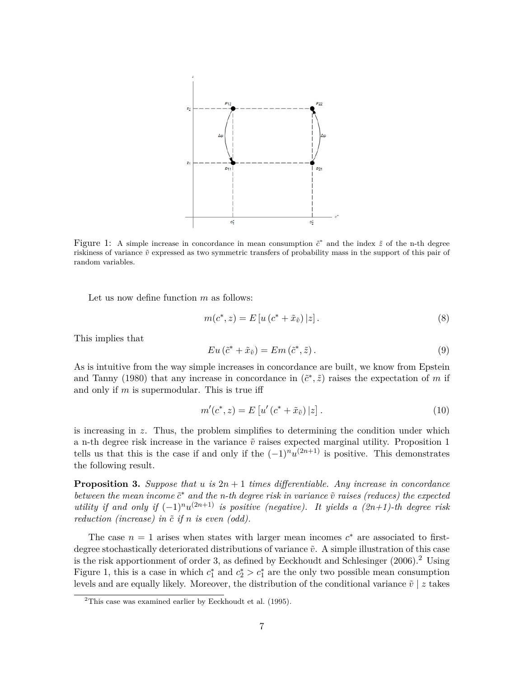

Figure 1: A simple increase in concordance in mean consumption  $\tilde{c}^*$  and the index  $\tilde{z}$  of the n-th degree riskiness of variance  $\tilde{v}$  expressed as two symmetric transfers of probability mass in the support of this pair of random variables.

Let us now define function *m* as follows:

$$
m(c^*, z) = E[u(c^* + \tilde{x}_{\tilde{v}})|z].
$$
\n(8)

This implies that

$$
Eu\left(\tilde{c}^* + \tilde{x}_{\tilde{v}}\right) = Em\left(\tilde{c}^*, \tilde{z}\right). \tag{9}
$$

As is intuitive from the way simple increases in concordance are built, we know from Epstein and Tanny (1980) that any increase in concordance in  $(\tilde{c}^*, \tilde{z})$  raises the expectation of *m* if and only if *m* is supermodular. This is true iff

$$
m'(c^*, z) = E[u'(c^* + \tilde{x}_{\tilde{v}})|z].
$$
\n(10)

is increasing in *z*. Thus, the problem simplifies to determining the condition under which a n-th degree risk increase in the variance  $\tilde{v}$  raises expected marginal utility. Proposition 1 tells us that this is the case if and only if the  $(-1)^n u^{(2n+1)}$  is positive. This demonstrates the following result.

**Proposition 3.** Suppose that  $u$  is  $2n + 1$  times differentiable. Any increase in concordance *between the mean income*  $\tilde{c}^*$  *and the n-th degree risk in variance*  $\tilde{v}$  *raises (reduces) the expected utility if and only if*  $(-1)^n u^{(2n+1)}$  *is positive (negative). It yields a*  $(2n+1)$ *-th degree risk reduction (increase) in*  $\tilde{c}$  *if*  $n$  *is even (odd).* 

The case  $n = 1$  arises when states with larger mean incomes  $c^*$  are associated to firstdegree stochastically deteriorated distributions of variance  $\tilde{v}$ . A simple illustration of this case is the risk apportionment of order 3, as defined by Eeckhoudt and Schlesinger  $(2006).$ <sup>2</sup> Using Figure 1, this is a case in which  $c_1^*$  and  $c_2^* > c_1^*$  are the only two possible mean consumption levels and are equally likely. Moreover, the distribution of the conditional variance  $\tilde{v}$  | *z* takes

 $2$ This case was examined earlier by Eeckhoudt et al. (1995).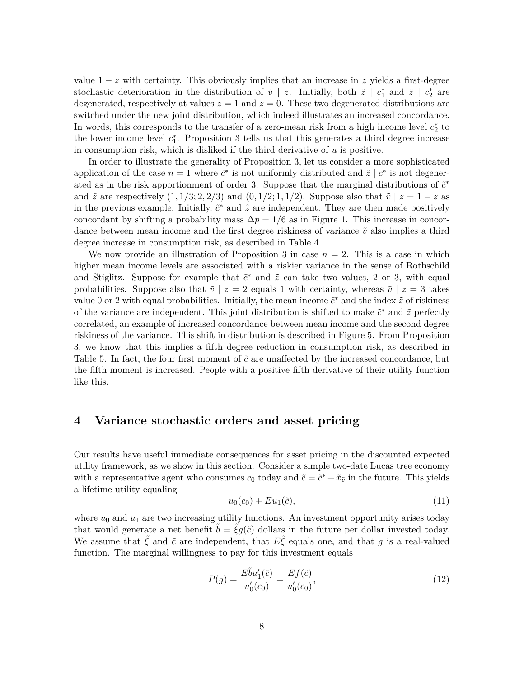value  $1 - z$  with certainty. This obviously implies that an increase in z yields a first-degree stochastic deterioration in the distribution of  $\tilde{v}$  | *z*. Initially, both  $\tilde{z}$  |  $c_1^*$  and  $\tilde{z}$  |  $c_2^*$  are degenerated, respectively at values  $z = 1$  and  $z = 0$ . These two degenerated distributions are switched under the new joint distribution, which indeed illustrates an increased concordance. In words, this corresponds to the transfer of a zero-mean risk from a high income level  $c_2^*$  to the lower income level  $c_1^*$ . Proposition 3 tells us that this generates a third degree increase in consumption risk, which is disliked if the third derivative of *u* is positive.

In order to illustrate the generality of Proposition 3, let us consider a more sophisticated application of the case  $n = 1$  where  $\tilde{c}^*$  is not uniformly distributed and  $\tilde{z} \mid c^*$  is not degenerated as in the risk apportionment of order 3. Suppose that the marginal distributions of  $\tilde{c}^*$ and  $\tilde{z}$  are respectively  $(1, 1/3; 2, 2/3)$  and  $(0, 1/2; 1, 1/2)$ . Suppose also that  $\tilde{v} \mid z = 1 - z$  as in the previous example. Initially,  $\tilde{c}^*$  and  $\tilde{z}$  are independent. They are then made positively concordant by shifting a probability mass  $\Delta p = 1/6$  as in Figure 1. This increase in concordance between mean income and the first degree riskiness of variance  $\tilde{v}$  also implies a third degree increase in consumption risk, as described in Table 4.

We now provide an illustration of Proposition 3 in case  $n = 2$ . This is a case in which higher mean income levels are associated with a riskier variance in the sense of Rothschild and Stiglitz. Suppose for example that  $\tilde{c}^*$  and  $\tilde{z}$  can take two values, 2 or 3, with equal probabilities. Suppose also that  $\tilde{v} \mid z = 2$  equals 1 with certainty, whereas  $\tilde{v} \mid z = 3$  takes value 0 or 2 with equal probabilities. Initially, the mean income  $\tilde{c}^*$  and the index  $\tilde{z}$  of riskiness of the variance are independent. This joint distribution is shifted to make  $\tilde{c}^*$  and  $\tilde{z}$  perfectly correlated, an example of increased concordance between mean income and the second degree riskiness of the variance. This shift in distribution is described in Figure 5. From Proposition 3, we know that this implies a fifth degree reduction in consumption risk, as described in Table 5. In fact, the four first moment of  $\tilde{c}$  are unaffected by the increased concordance, but the fifth moment is increased. People with a positive fifth derivative of their utility function like this.

#### **4 Variance stochastic orders and asset pricing**

Our results have useful immediate consequences for asset pricing in the discounted expected utility framework, as we show in this section. Consider a simple two-date Lucas tree economy with a representative agent who consumes  $c_0$  today and  $\tilde{c} = \tilde{c}^* + \tilde{x}_{\tilde{v}}$  in the future. This yields a lifetime utility equaling

$$
u_0(c_0) + Eu_1(\tilde{c}), \t\t(11)
$$

where  $u_0$  and  $u_1$  are two increasing utility functions. An investment opportunity arises today that would generate a net benefit  $\tilde{b} = \tilde{\xi}g(\tilde{c})$  dollars in the future per dollar invested today. We assume that  $\tilde{\xi}$  and  $\tilde{c}$  are independent, that  $E\tilde{\xi}$  equals one, and that *g* is a real-valued function. The marginal willingness to pay for this investment equals

$$
P(g) = \frac{E\tilde{b}u_1'(\tilde{c})}{u_0'(c_0)} = \frac{Ef(\tilde{c})}{u_0'(c_0)},
$$
\n(12)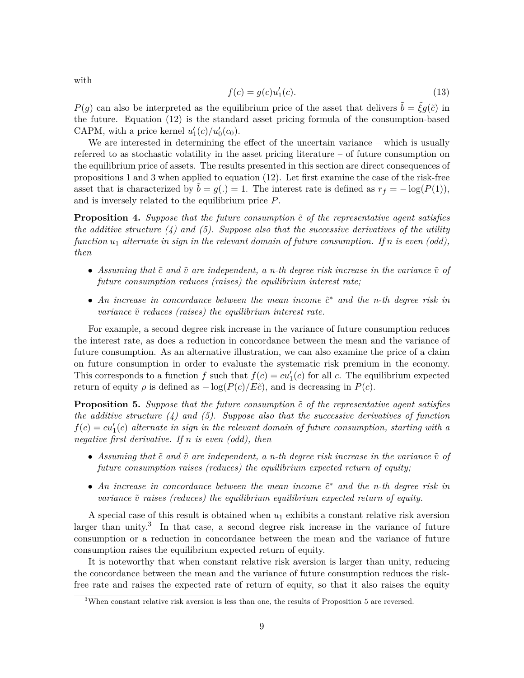$f(c) = g(c)u'_1$  $(c)$ . (13)

*P*(*g*) can also be interpreted as the equilibrium price of the asset that delivers  $\tilde{b} = \tilde{\xi}g(\tilde{c})$  in the future. Equation (12) is the standard asset pricing formula of the consumption-based CAPM, with a price kernel  $u'_1(c)/u'_0(c_0)$ .

We are interested in determining the effect of the uncertain variance – which is usually referred to as stochastic volatility in the asset pricing literature – of future consumption on the equilibrium price of assets. The results presented in this section are direct consequences of propositions 1 and 3 when applied to equation (12). Let first examine the case of the risk-free asset that is characterized by  $\tilde{b} = g(.) = 1$ . The interest rate is defined as  $r_f = -\log(P(1)),$ and is inversely related to the equilibrium price *P*.

**Proposition 4.** Suppose that the future consumption  $\tilde{c}$  of the representative agent satisfies *the additive structure (4) and (5). Suppose also that the successive derivatives of the utility function u*<sup>1</sup> *alternate in sign in the relevant domain of future consumption. If n is even (odd), then*

- Assuming that  $\tilde{c}$  and  $\tilde{v}$  are independent, a n-th degree risk increase in the variance  $\tilde{v}$  of *future consumption reduces (raises) the equilibrium interest rate;*
- *An increase in concordance between the mean income*  $\tilde{c}^*$  *and the n-th degree risk in variance*  $\tilde{v}$  *reduces (raises) the equilibrium interest rate.*

For example, a second degree risk increase in the variance of future consumption reduces the interest rate, as does a reduction in concordance between the mean and the variance of future consumption. As an alternative illustration, we can also examine the price of a claim on future consumption in order to evaluate the systematic risk premium in the economy. This corresponds to a function *f* such that  $f(c) = cu'_{1}(c)$  for all *c*. The equilibrium expected return of equity  $\rho$  is defined as  $-\log(P(c)/E\tilde{c})$ , and is decreasing in  $P(c)$ .

**Proposition 5.** Suppose that the future consumption  $\tilde{c}$  of the representative agent satisfies *the additive structure (4) and (5). Suppose also that the successive derivatives of function*  $f(c) = cu_1'(c)$  *alternate in sign in the relevant domain of future consumption, starting with a negative first derivative. If n is even (odd), then*

- Assuming that  $\tilde{c}$  and  $\tilde{v}$  are independent, a n-th degree risk increase in the variance  $\tilde{v}$  of *future consumption raises (reduces) the equilibrium expected return of equity;*
- *An increase in concordance between the mean income*  $\tilde{c}^*$  *and the n-th degree risk in variance*  $\tilde{v}$  *raises (reduces) the equilibrium equilibrium expected return of equity.*

A special case of this result is obtained when  $u_1$  exhibits a constant relative risk aversion larger than unity.<sup>3</sup> In that case, a second degree risk increase in the variance of future consumption or a reduction in concordance between the mean and the variance of future consumption raises the equilibrium expected return of equity.

It is noteworthy that when constant relative risk aversion is larger than unity, reducing the concordance between the mean and the variance of future consumption reduces the riskfree rate and raises the expected rate of return of equity, so that it also raises the equity

with

<sup>&</sup>lt;sup>3</sup>When constant relative risk aversion is less than one, the results of Proposition 5 are reversed.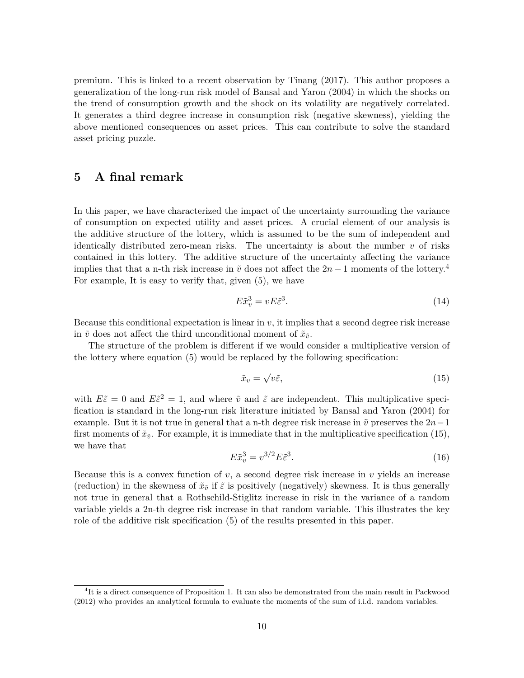premium. This is linked to a recent observation by Tinang (2017). This author proposes a generalization of the long-run risk model of Bansal and Yaron (2004) in which the shocks on the trend of consumption growth and the shock on its volatility are negatively correlated. It generates a third degree increase in consumption risk (negative skewness), yielding the above mentioned consequences on asset prices. This can contribute to solve the standard asset pricing puzzle.

### **5 A final remark**

In this paper, we have characterized the impact of the uncertainty surrounding the variance of consumption on expected utility and asset prices. A crucial element of our analysis is the additive structure of the lottery, which is assumed to be the sum of independent and identically distributed zero-mean risks. The uncertainty is about the number *v* of risks contained in this lottery. The additive structure of the uncertainty affecting the variance implies that that a n-th risk increase in  $\tilde{v}$  does not affect the  $2n-1$  moments of the lottery.<sup>4</sup> For example, It is easy to verify that, given (5), we have

$$
E\tilde{x}_v^3 = vE\tilde{\varepsilon}^3. \tag{14}
$$

Because this conditional expectation is linear in *v*, it implies that a second degree risk increase in  $\tilde{v}$  does not affect the third unconditional moment of  $\tilde{x}_{\tilde{v}}$ .

The structure of the problem is different if we would consider a multiplicative version of the lottery where equation (5) would be replaced by the following specification:

$$
\tilde{x}_v = \sqrt{v}\tilde{\varepsilon},\tag{15}
$$

with  $E\tilde{\varepsilon} = 0$  and  $E\tilde{\varepsilon}^2 = 1$ , and where  $\tilde{v}$  and  $\tilde{\varepsilon}$  are independent. This multiplicative specification is standard in the long-run risk literature initiated by Bansal and Yaron (2004) for example. But it is not true in general that a n-th degree risk increase in  $\tilde{v}$  preserves the  $2n-1$ first moments of  $\tilde{x}_{\tilde{v}}$ . For example, it is immediate that in the multiplicative specification (15), we have that

$$
E\tilde{x}_v^3 = v^{3/2} E\tilde{\varepsilon}^3. \tag{16}
$$

Because this is a convex function of  $v$ , a second degree risk increase in  $v$  yields an increase (reduction) in the skewness of  $\tilde{x}_{\tilde{v}}$  if  $\tilde{\varepsilon}$  is positively (negatively) skewness. It is thus generally not true in general that a Rothschild-Stiglitz increase in risk in the variance of a random variable yields a 2n-th degree risk increase in that random variable. This illustrates the key role of the additive risk specification (5) of the results presented in this paper.

<sup>&</sup>lt;sup>4</sup>It is a direct consequence of Proposition 1. It can also be demonstrated from the main result in Packwood (2012) who provides an analytical formula to evaluate the moments of the sum of i.i.d. random variables.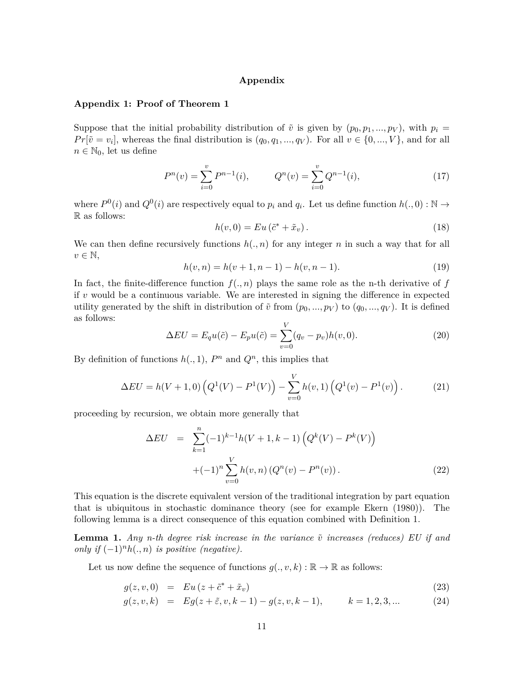#### **Appendix**

#### **Appendix 1: Proof of Theorem 1**

Suppose that the initial probability distribution of  $\tilde{v}$  is given by  $(p_0, p_1, ..., p_V)$ , with  $p_i =$  $Pr[\tilde{v} = v_i]$ , whereas the final distribution is  $(q_0, q_1, ..., q_V)$ . For all  $v \in \{0, ..., V\}$ , and for all  $n \in \mathbb{N}_0$ , let us define

$$
P^{n}(v) = \sum_{i=0}^{v} P^{n-1}(i), \qquad Q^{n}(v) = \sum_{i=0}^{v} Q^{n-1}(i), \qquad (17)
$$

where  $P^0(i)$  and  $Q^0(i)$  are respectively equal to  $p_i$  and  $q_i$ . Let us define function  $h(.,0): \mathbb{N} \to$ R as follows:

$$
h(v,0) = Eu\left(\tilde{c}^* + \tilde{x}_v\right). \tag{18}
$$

We can then define recursively functions  $h(., n)$  for any integer *n* in such a way that for all  $v \in \mathbb{N},$ 

$$
h(v, n) = h(v + 1, n - 1) - h(v, n - 1).
$$
\n(19)

In fact, the finite-difference function  $f(., n)$  plays the same role as the n-th derivative of *f* if *v* would be a continuous variable. We are interested in signing the difference in expected utility generated by the shift in distribution of  $\tilde{v}$  from  $(p_0, ..., p_V)$  to  $(q_0, ..., q_V)$ . It is defined as follows:

$$
\Delta EU = E_q u(\tilde{c}) - E_p u(\tilde{c}) = \sum_{v=0}^{V} (q_v - p_v) h(v, 0).
$$
\n(20)

By definition of functions  $h(., 1)$ ,  $P<sup>n</sup>$  and  $Q<sup>n</sup>$ , this implies that

$$
\Delta EU = h(V+1,0) \left( Q^1(V) - P^1(V) \right) - \sum_{v=0}^{V} h(v,1) \left( Q^1(v) - P^1(v) \right). \tag{21}
$$

proceeding by recursion, we obtain more generally that

$$
\Delta EU = \sum_{k=1}^{n} (-1)^{k-1} h(V+1, k-1) \left( Q^{k}(V) - P^{k}(V) \right)
$$

$$
+ (-1)^{n} \sum_{v=0}^{V} h(v, n) \left( Q^{n}(v) - P^{n}(v) \right). \tag{22}
$$

This equation is the discrete equivalent version of the traditional integration by part equation that is ubiquitous in stochastic dominance theory (see for example Ekern (1980)). The following lemma is a direct consequence of this equation combined with Definition 1.

**Lemma 1.** *Any n-th degree risk increase in the variance*  $\tilde{v}$  *increases (reduces)* EU if and *only if*  $(-1)^n h(., n)$  *is positive (negative).* 

Let us now define the sequence of functions  $g(., v, k) : \mathbb{R} \to \mathbb{R}$  as follows:

$$
g(z, v, 0) = Eu(z + \tilde{c}^* + \tilde{x}_v)
$$
\n
$$
(23)
$$

$$
g(z, v, k) = Eg(z + \tilde{\varepsilon}, v, k - 1) - g(z, v, k - 1), \qquad k = 1, 2, 3, ... \qquad (24)
$$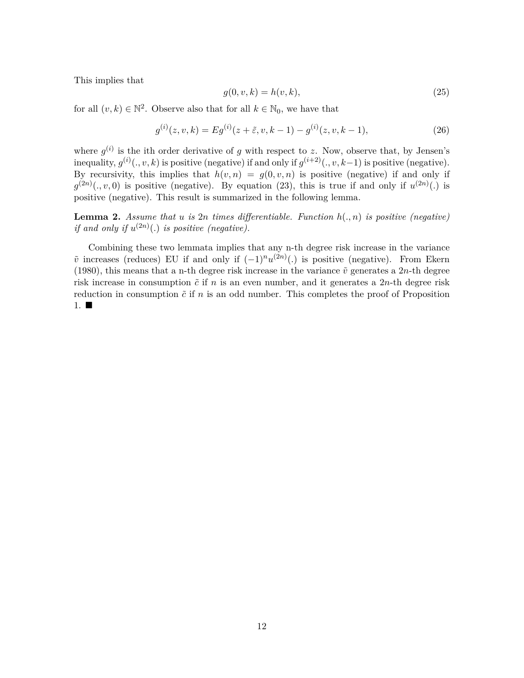This implies that

$$
g(0, v, k) = h(v, k),
$$
\n(25)

for all  $(v, k) \in \mathbb{N}^2$ . Observe also that for all  $k \in \mathbb{N}_0$ , we have that

$$
g^{(i)}(z,v,k) = Eg^{(i)}(z+\tilde{\varepsilon},v,k-1) - g^{(i)}(z,v,k-1),
$$
\n(26)

where  $g^{(i)}$  is the ith order derivative of *g* with respect to *z*. Now, observe that, by Jensen's inequality,  $g^{(i)}(., v, k)$  is positive (negative) if and only if  $g^{(i+2)}(., v, k-1)$  is positive (negative). By recursivity, this implies that  $h(v, n) = g(0, v, n)$  is positive (negative) if and only if  $g^{(2n)}(.,v,0)$  is positive (negative). By equation (23), this is true if and only if  $u^{(2n)}(.)$  is positive (negative). This result is summarized in the following lemma.

**Lemma 2.** *Assume that*  $u$  *is*  $2n$  *times differentiable. Function*  $h(., n)$  *is positive (negative) if and only if*  $u^{(2n)}(.)$  *is positive (negative).* 

Combining these two lemmata implies that any n-th degree risk increase in the variance  $\tilde{v}$  increases (reduces) EU if and only if  $(-1)^n u^{(2n)}(.)$  is positive (negative). From Ekern (1980), this means that a n-th degree risk increase in the variance  $\tilde{v}$  generates a 2*n*-th degree risk increase in consumption  $\tilde{c}$  if  $n$  is an even number, and it generates a  $2n$ -th degree risk reduction in consumption  $\tilde{c}$  if  $n$  is an odd number. This completes the proof of Proposition 1.  $\blacksquare$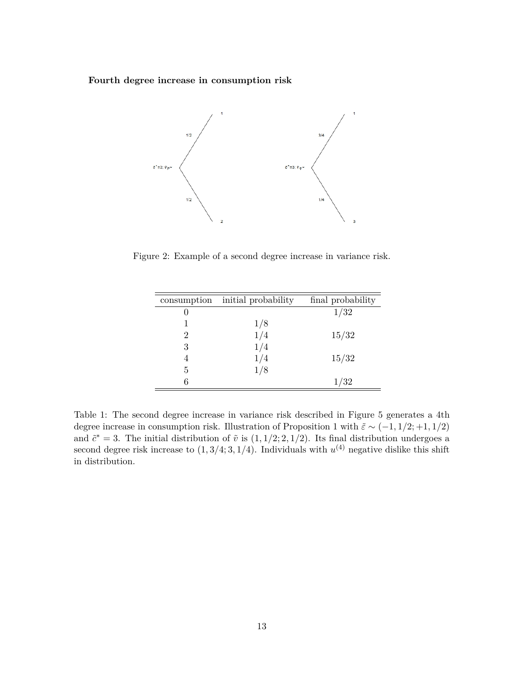**Fourth degree increase in consumption risk**



Figure 2: Example of a second degree increase in variance risk.

| initial probability | final probability |
|---------------------|-------------------|
|                     | 1/32              |
| 1/8                 |                   |
| 1/4                 | 15/32             |
| 1/4                 |                   |
| 1/4                 | 15/32             |
| 1/8                 |                   |
|                     | 1/32              |
|                     |                   |

Table 1: The second degree increase in variance risk described in Figure 5 generates a 4th degree increase in consumption risk. Illustration of Proposition 1 with  $\tilde{\varepsilon} \sim (-1, 1/2; +1, 1/2)$ and  $\tilde{c}^* = 3$ . The initial distribution of  $\tilde{v}$  is  $(1, 1/2; 2, 1/2)$ . Its final distribution undergoes a second degree risk increase to  $(1,3/4;3,1/4)$ . Individuals with  $u^{(4)}$  negative dislike this shift in distribution.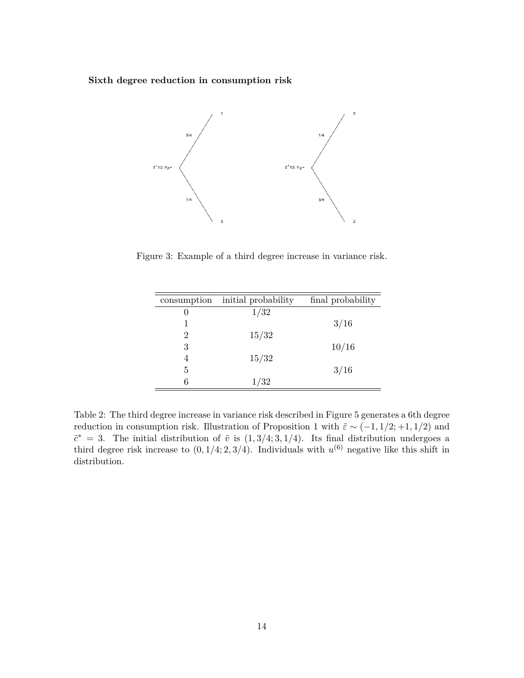**Sixth degree reduction in consumption risk**



Figure 3: Example of a third degree increase in variance risk.

| initial probability | final probability |
|---------------------|-------------------|
| 1/32                |                   |
|                     | 3/16              |
| 15/32               |                   |
|                     | 10/16             |
| 15/32               |                   |
|                     | 3/16              |
| 1/32                |                   |
|                     |                   |

Table 2: The third degree increase in variance risk described in Figure 5 generates a 6th degree reduction in consumption risk. Illustration of Proposition 1 with  $\tilde{\varepsilon} \sim (-1, 1/2; +1, 1/2)$  and  $\tilde{c}^* = 3$ . The initial distribution of  $\tilde{v}$  is  $(1, 3/4; 3, 1/4)$ . Its final distribution undergoes a third degree risk increase to  $(0, 1/4; 2, 3/4)$ . Individuals with  $u^{(6)}$  negative like this shift in distribution.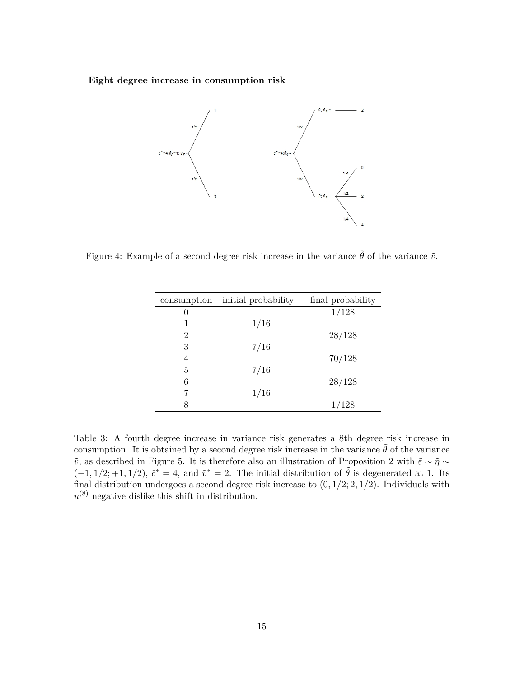**Eight degree increase in consumption risk**



Figure 4: Example of a second degree risk increase in the variance  $\tilde{\theta}$  of the variance  $\tilde{v}$ .

| consumption | initial probability | final probability |
|-------------|---------------------|-------------------|
| 0           |                     | 1/128             |
| 1           | 1/16                |                   |
| 2           |                     | 28/128            |
| 3           | 7/16                |                   |
| 4           |                     | 70/128            |
| 5           | 7/16                |                   |
| 6           |                     | 28/128            |
|             | 1/16                |                   |
| 8           |                     | 1/128             |
|             |                     |                   |

Table 3: A fourth degree increase in variance risk generates a 8th degree risk increase in consumption. It is obtained by a second degree risk increase in the variance  $\tilde{\theta}$  of the variance *v*̃, as described in Figure 5. It is therefore also an illustration of Proposition 2 with  $\tilde{\varepsilon} \sim \tilde{\eta} \sim$  $(-1, 1/2; +1, 1/2), \tilde{c}^* = 4$ , and  $\tilde{v}^* = 2$ . The initial distribution of  $\tilde{\theta}$  is degenerated at 1. Its final distribution undergoes a second degree risk increase to (0*,* 1*/*2; 2*,* 1*/*2). Individuals with  $u^{(8)}$  negative dislike this shift in distribution.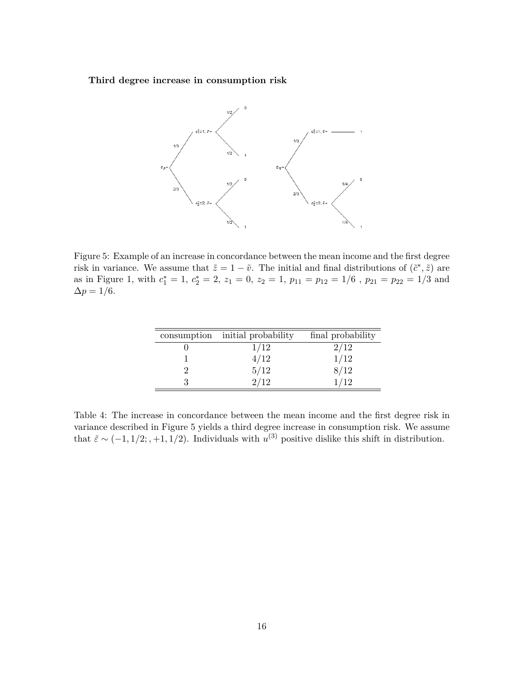**Third degree increase in consumption risk**



Figure 5: Example of an increase in concordance between the mean income and the first degree risk in variance. We assume that  $\tilde{z} = 1 - \tilde{v}$ . The initial and final distributions of  $(\tilde{c}^*, \tilde{z})$  are as in Figure 1, with  $c_1^* = 1$ ,  $c_2^* = 2$ ,  $z_1 = 0$ ,  $z_2 = 1$ ,  $p_{11} = p_{12} = 1/6$ ,  $p_{21} = p_{22} = 1/3$  and  $\Delta p = 1/6.$ 

| consumption initial probability | final probability |
|---------------------------------|-------------------|
| 1/12                            | 2/12              |
| 4/12                            | 1/12              |
| $\frac{5}{12}$<br>2/12          | 8/12              |
|                                 | 1/12              |

Table 4: The increase in concordance between the mean income and the first degree risk in variance described in Figure 5 yields a third degree increase in consumption risk. We assume that  $\tilde{\varepsilon} \sim (-1, 1/2; , +1, 1/2)$ . Individuals with  $u^{(3)}$  positive dislike this shift in distribution.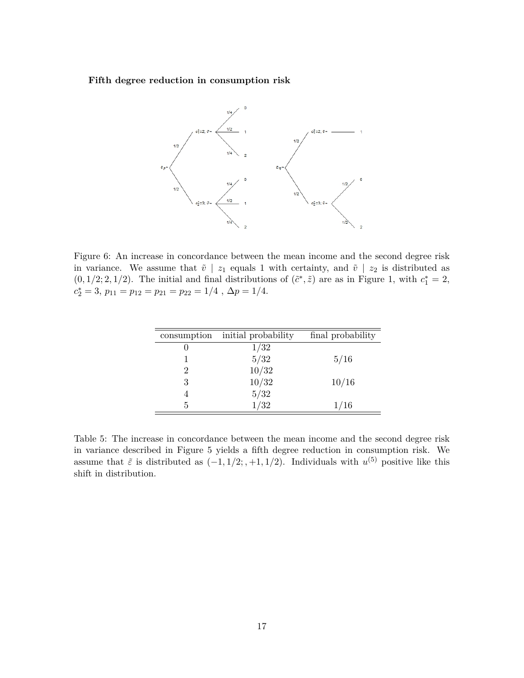**Fifth degree reduction in consumption risk**



Figure 6: An increase in concordance between the mean income and the second degree risk in variance. We assume that  $\tilde{v}$  |  $z_1$  equals 1 with certainty, and  $\tilde{v}$  |  $z_2$  is distributed as  $(0, 1/2; 2, 1/2)$ . The initial and final distributions of  $(\tilde{c}^*, \tilde{z})$  are as in Figure 1, with  $c_1^* = 2$ ,  $c_2^* = 3$ ,  $p_{11} = p_{12} = p_{21} = p_{22} = 1/4$ ,  $\Delta p = 1/4$ .

| consumption | initial probability | final probability |
|-------------|---------------------|-------------------|
|             | 1/32                |                   |
|             | 5/32                | 5/16              |
|             | 10/32               |                   |
| 3           | 10/32               | 10/16             |
|             | $5/32\,$            |                   |
| 5           | 1/32                | 1/16              |

Table 5: The increase in concordance between the mean income and the second degree risk in variance described in Figure 5 yields a fifth degree reduction in consumption risk. We assume that  $\tilde{\varepsilon}$  is distributed as  $(-1, 1/2; +1, 1/2)$ . Individuals with  $u^{(5)}$  positive like this shift in distribution.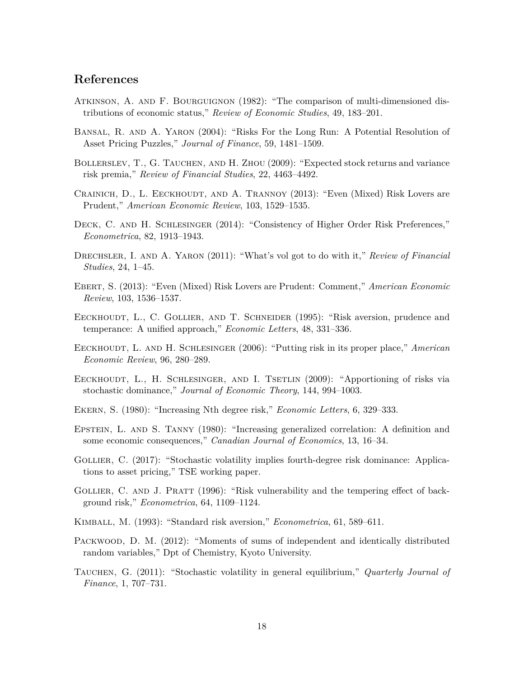## **References**

- Atkinson, A. and F. Bourguignon (1982): "The comparison of multi-dimensioned distributions of economic status," *Review of Economic Studies*, 49, 183–201.
- Bansal, R. and A. Yaron (2004): "Risks For the Long Run: A Potential Resolution of Asset Pricing Puzzles," *Journal of Finance*, 59, 1481–1509.
- BOLLERSLEV, T., G. TAUCHEN, AND H. ZHOU (2009): "Expected stock returns and variance risk premia," *Review of Financial Studies*, 22, 4463–4492.
- CRAINICH, D., L. EECKHOUDT, AND A. TRANNOY (2013): "Even (Mixed) Risk Lovers are Prudent," *American Economic Review*, 103, 1529–1535.
- DECK, C. AND H. SCHLESINGER (2014): "Consistency of Higher Order Risk Preferences," *Econometrica*, 82, 1913–1943.
- Drechsler, I. and A. Yaron (2011): "What's vol got to do with it," *Review of Financial Studies*, 24, 1–45.
- Ebert, S. (2013): "Even (Mixed) Risk Lovers are Prudent: Comment," *American Economic Review*, 103, 1536–1537.
- EECKHOUDT, L., C. GOLLIER, AND T. SCHNEIDER (1995): "Risk aversion, prudence and temperance: A unified approach," *Economic Letters*, 48, 331–336.
- EECKHOUDT, L. AND H. SCHLESINGER (2006): "Putting risk in its proper place," *American Economic Review*, 96, 280–289.
- EECKHOUDT, L., H. SCHLESINGER, AND I. TSETLIN (2009): "Apportioning of risks via stochastic dominance," *Journal of Economic Theory*, 144, 994–1003.
- Ekern, S. (1980): "Increasing Nth degree risk," *Economic Letters*, 6, 329–333.
- Epstein, L. and S. Tanny (1980): "Increasing generalized correlation: A definition and some economic consequences," *Canadian Journal of Economics*, 13, 16–34.
- GOLLIER, C. (2017): "Stochastic volatility implies fourth-degree risk dominance: Applications to asset pricing," TSE working paper.
- GOLLIER, C. AND J. PRATT (1996): "Risk vulnerability and the tempering effect of background risk," *Econometrica*, 64, 1109–1124.
- Kimball, M. (1993): "Standard risk aversion," *Econometrica*, 61, 589–611.
- Packwood, D. M. (2012): "Moments of sums of independent and identically distributed random variables," Dpt of Chemistry, Kyoto University.
- Tauchen, G. (2011): "Stochastic volatility in general equilibrium," *Quarterly Journal of Finance*, 1, 707–731.